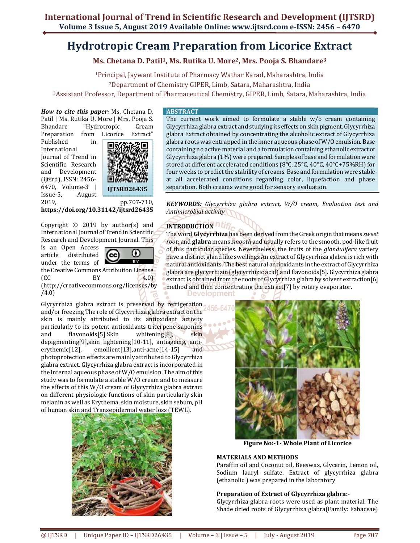# **Hydrotropic Cream Preparation from Licorice Extract**

**Ms. Chetana D. Patil<sup>1</sup>, Ms. Rutika U. More<sup>2</sup>, Mrs. Pooja S. Bhandare<sup>3</sup>**

<sup>1</sup>Principal, Jaywant Institute of Pharmacy Wathar Karad, Maharashtra, India <sup>2</sup>Department of Chemistry GIPER, Limb, Satara, Maharashtra, India <sup>3</sup>Assistant Professor, Department of Pharmaceutical Chemistry, GIPER, Limb, Satara, Maharashtra, India

*How to cite this paper:* Ms. Chetana D. Patil | Ms. Rutika U. More | Mrs. Pooja S. Bhandare "Hydrotropic Cream

Published in International Journal of Trend in Scientific Research and Development (ijtsrd), ISSN: 2456- 6470, Volume-3 | Issue-5, August 2019, pp.707-710,



**https://doi.org/10.31142/ijtsrd26435**

Copyright © 2019 by author(s) and International Journal of Trend in Scientific Research and Development Journal. This

is an Open Access article distributed under the terms of



 $\left( CC \qquad \qquad BV \qquad \qquad 4.0 \right)$ (http://creativecommons.org/licenses/by /4.0)

the Creative Commons Attribution License

Glycyrrhiza glabra extract is preserved by refrigeration and/or freezing The role of Glycyrrhiza glabra extract on the skin is mainly attributed to its antioxidant activity particularly to its potent antioxidants triterpene saponins and flavonoids[5].Skin whitening[8], skin depigmenting[9],skin lightening[10-11], antiageing, antierythemic[12], emollient[13],anti-acne[14-15] and photoprotection effects are mainly attributed to Glycyrrhiza glabra extract. Glycyrrhiza glabra extract is incorporated in the internal aqueous phase of W/O emulsion. The aim of this study was to formulate a stable W/O cream and to measure the effects of this W/O cream of Glycyrrhiza glabra extract on different physiologic functions of skin particularly skin melanin as well as Erythema, skin moisture, skin sebum, pH of human skin and Transepidermal water loss (TEWL).



# **ABSTRACT**

The current work aimed to formulate a stable w/o cream containing Glycyrrhiza glabra extract and studying its effects on skin pigment. Glycyrrhiza glabra Extract obtained by concentrating the alcoholic extract of Glycyrrhiza glabra roots was entrapped in the inner aqueous phase of W/O emulsion. Base containing no active material and a formulation containing ethanolic extract of Glycyrrhiza glabra (1%) were prepared. Samples of base and formulation were stored at different accelerated conditions (8°C, 25°C, 40°C, 40°C+75%RH) for four weeks to predict the stability of creams. Base and formulation were stable at all accelerated conditions regarding color, liquefaction and phase separation. Both creams were good for sensory evaluation.

*KEYWORDS: Glycyrrhiza glabra extract, W/O cream, Evaluation test and Antimicrobial activity* 

# **INTRODUCTION**

The word **Glycyrrhiza** has been derived from the Greek origin that means *sweet root*; and **glabra** means *smooth* and usually refers to the smooth, pod-like fruit of this particular species. Nevertheless, the fruits of the *glandulifera* variety have a distinct gland like swellings An extract of Glycyrrhiza glabra is rich with natural antioxidants. The best natural antioxidants in the extract of Glycyrrhiza glabra are glycyrrhizin (glycyrrhizic acid) and flavonoids[5].Glycyrrhiza glabra extract is obtained from the roots of Glycyrrhiza glabra by solvent extraction[6] method and then concentrating the extract[7] by rotary evaporator.

Development



**Figure No:-1- Whole Plant of Licorice** 

# **MATERIALS AND METHODS**

Paraffin oil and Coconut oil, Beeswax, Glycerin, Lemon oil, Sodium lauryl sulfate. Extract of glycyrrhiza glabra (ethanolic ) was prepared in the laboratory

# **Preparation of Extract of Glycyrrhiza glabra:-**

Glycyrrhiza glabra roots were used as plant material. The Shade dried roots of Glycyrrhiza glabra(Family: Fabaceae)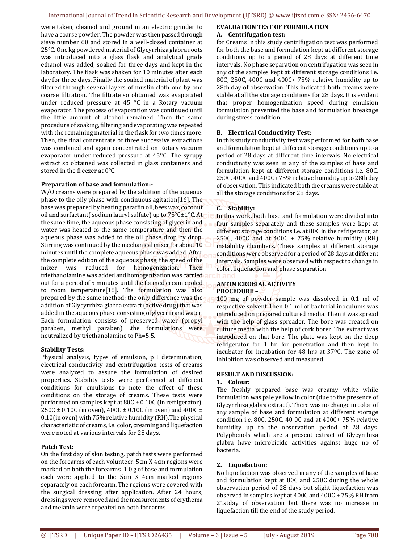#### International Journal of Trend in Scientific Research and Development (IJTSRD) @ www.ijtsrd.com eISSN: 2456-6470

were taken, cleaned and ground in an electric grinder to have a coarse powder. The powder was then passed through sieve number 60 and stored in a well-closed container at 25°C. One kg powdered material of Glycyrrhiza glabra roots was introduced into a glass flask and analytical grade ethanol was added, soaked for three days and kept in the laboratory. The flask was shaken for 10 minutes after each day for three days. Finally the soaked material of plant was filtered through several layers of muslin cloth one by one coarse filtration. The filtrate so obtained was evaporated under reduced pressure at 45 ºC in a Rotary vacuum evaporator. The process of evaporation was continued until the little amount of alcohol remained. Then the same procedure of soaking, filtering and evaporating was repeated with the remaining material in the flask for two times more. Then, the final concentrate of three successive extractions was combined and again concentrated on Rotary vacuum evaporator under reduced pressure at 45ºC. The syrupy extract so obtained was collected in glass containers and stored in the freezer at 0°C.

## **Preparation of base and formulation:-**

W/O creams were prepared by the addition of the aqueous phase to the oily phase with continuous agitation[16]. The base was prepared by heating paraffin oil, bees wax, coconut oil and surfactant( sodium lauryl sulfate) up to 75°C±1°C. At the same time, the aqueous phase consisting of glycerin and water was heated to the same temperature and then the aqueous phase was added to the oil phase drop by drop. Stirring was continued by the mechanical mixer for about 10 minutes until the complete aqueous phase was added. After the complete edition of the aqueous phase, the speed of the mixer was reduced for homogenization. Then triethanolamine was added and homogenization was carried out for a period of 5 minutes until the formed cream cooled to room temperature[16]. The formulation was also prepared by the same method; the only difference was the addition of Glycyrrhiza glabra extract (active drug) that was added in the aqueous phase consisting of glycerin and water. Each formulation consists of preserved water (propyl paraben, methyl paraben) .the formulations were neutralized by triethanolamine to Ph=5.5.

## **Stability Tests:**

Physical analysis, types of emulsion, pH determination, electrical conductivity and centrifugation tests of creams were analyzed to assure the formulation of desired properties. Stability tests were performed at different conditions for emulsions to note the effect of these conditions on the storage of creams. These tests were performed on samples kept at80C ± 0.10C (in refrigerator), 250C ± 0.10C (in oven), 400C ± 0.10C (in oven) and 400C ± 0.10(in oven) with 75% relative humidity (RH).The physical characteristic of creams, i.e. color, creaming and liquefaction were noted at various intervals for 28 days.

## **Patch Test:**

On the first day of skin testing, patch tests were performed on the forearms of each volunteer. 5cm X 4cm regions were marked on both the forearms. 1.0 g of base and formulation each were applied to the 5cm X 4cm marked regions separately on each forearm. The regions were covered with the surgical dressing after application. After 24 hours, dressings were removed and the measurements of erythema and melanin were repeated on both forearms.

#### **EVALUATION TEST OF FORMULATION A. Centrifugation test:**

for Creams In this study centrifugation test was performed for both the base and formulation kept at different storage conditions up to a period of 28 days at different time intervals. No phase separation on centrifugation was seen in any of the samples kept at different storage conditions i.e. 80C, 250C, 400C and 400C+ 75% relative humidity up to 28th day of observation. This indicated both creams were stable at all the storage conditions for 28 days. It is evident that proper homogenization speed during emulsion formulation prevented the base and formulation breakage during stress condition

#### **B. Electrical Conductivity Test:**

In this study conductivity test was performed for both base and formulation kept at different storage conditions up to a period of 28 days at different time intervals. No electrical conductivity was seen in any of the samples of base and formulation kept at different storage conditions i.e. 80C, 250C, 400C and 400C+ 75% relative humidity up to 28th day of observation. This indicated both the creams were stable at all the storage conditions for 28 days.

## **C. Stability:**

In this work, both base and formulation were divided into four samples separately and these samples were kept at different storage conditions i.e. at 80C in the refrigerator, at 250C, 400C and at 400C + 75% relative humidity (RH) instability chambers. These samples at different storage conditions were observed for a period of 28 days at different intervals. Samples were observed with respect to change in color, liquefaction and phase separation

## **ANTIMICROBIAL ACTIVITY PROCEDURE –**

100 mg of powder sample was dissolved in 0.1 ml of respective solvent Then 0.1 ml of bacterial inoculums was introduced on prepared cultured media. Then it was spread with the help of glass spreader. The bore was created on culture media with the help of cork borer. The extract was introduced on that bore. The plate was kept on the deep refrigerator for 1 hr. for penetration and then kept in incubator for incubation for 48 hrs at  $37^{\circ}$ C. The zone of inhibition was observed and measured.

## **RESULT AND DISCUSSION:**

#### **1. Colour:**

The freshly prepared base was creamy white while formulation was pale yellow in color (due to the presence of Glycyrrhiza glabra extract). There was no change in color of any sample of base and formulation at different storage condition i.e. 80C, 250C, 40 0C and at 400C+ 75% relative humidity up to the observation period of 28 days. Polyphenols which are a present extract of Glycyrrhiza glabra have microbicide activities against huge no of bacteria.

## **2. Liquefaction:**

No liquefaction was observed in any of the samples of base and formulation kept at 80C and 250C during the whole observation period of 28 days but slight liquefaction was observed in samples kept at 400C and 400C + 75% RH from 21stday of observation but there was no increase in liquefaction till the end of the study period.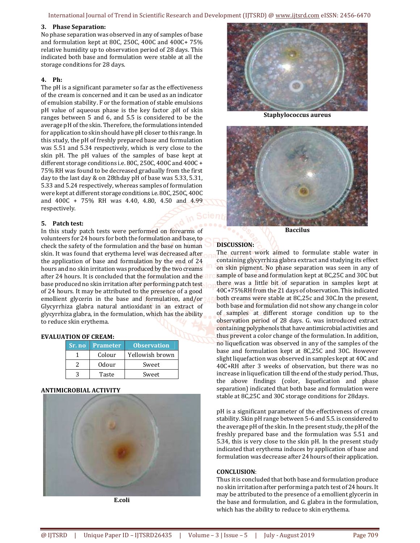International Journal of Trend in Scientific Research and Development (IJTSRD) @ www.ijtsrd.com eISSN: 2456-6470

#### **3. Phase Separation:**

No phase separation was observed in any of samples of base and formulation kept at 80C, 250C, 400C and 400C+ 75% relative humidity up to observation period of 28 days. This indicated both base and formulation were stable at all the storage conditions for 28 days.

# **4. Ph:**

The pH is a significant parameter so far as the effectiveness of the cream is concerned and it can be used as an indicator of emulsion stability. F or the formation of stable emulsions pH value of aqueous phase is the key factor .pH of skin ranges between 5 and 6, and 5.5 is considered to be the average pH of the skin. Therefore, the formulations intended for application to skin should have pH closer to this range. In this study, the pH of freshly prepared base and formulation was 5.51 and 5.34 respectively, which is very close to the skin pH. The pH values of the samples of base kept at different storage conditions i.e. 80C, 250C, 400C and 400C + 75% RH was found to be decreased gradually from the first day to the last day & on 28thday pH of base was 5.33, 5.31, 5.33 and 5.24 respectively, whereas samples of formulation were kept at different storage conditions i.e. 80C, 250C, 400C and 400C + 75% RH was 4.40, 4.80, 4.50 and 4.99 respectively.

## **5. Patch test:**

In this study patch tests were performed on forearms of volunteers for 24 hours for both the formulation and base, to check the safety of the formulation and the base on human skin. It was found that erythema level was decreased after the application of base and formulation by the end of 24 hours and no skin irritation was produced by the two creams after 24 hours. It is concluded that the formulation and the base produced no skin irritation after performing patch test of 24 hours. It may be attributed to the presence of a good emollient glycerin in the base and formulation, and/or Glycyrrhiza glabra natural antioxidant in an extract of glycyrrhiza glabra, in the formulation, which has the ability to reduce skin erythema.

## **EVALUATION OF CREAM:**

| <b>Sr. no</b> Prameter | <b>Observation</b> |
|------------------------|--------------------|
| Colour                 | Yellowish brown    |
| 0dour                  | Sweet              |
| Taste                  | Sweet              |

## **ANTIMICROBIAL ACTIVITY**



**E.coli** 



**Staphylococcus aureus** 



**Baccilus** 

# **DISCUSSION:**

The current work aimed to formulate stable water in containing glycyrrhiza glabra extract and studying its effect on skin pigment. No phase separation was seen in any of sample of base and formulation kept at 8C,25C and 30C but there was a little bit of separation in samples kept at 40C+75%RH from the 21 days of observation. This indicated both creams were stable at 8C,25c and 30C.In the present, both base and formulation did not show any change in color of samples at different storage condition up to the observation period of 28 days. G. was introduced extract containing polyphenols that have antimicrobial activities and thus prevent a color change of the formulation. In addition, no liquefication was observed in any of the samples of the base and formulation kept at 8C,25C and 30C. However slight liquefaction was observed in samples kept at 40C and 40C+RH after 3 weeks of observation, but there was no increase in liquefication till the end of the study period. Thus, the above findings (color, liquefication and phase separation) indicated that both base and formulation were stable at 8C,25C and 30C storage conditions for 28days.

pH is a significant parameter of the effectiveness of cream stability. Skin pH range between 5-6 and 5.5. is considered to the average pH of the skin. In the present study, the pH of the freshly prepared base and the formulation was 5.51 and 5.34, this is very close to the skin pH. In the present study indicated that erythema induces by application of base and formulation was decrease after 24 hours of their application.

#### **CONCLUSION**:

Thus it is concluded that both base and formulation produce no skin irritation after performing a patch test of 24 hours. It may be attributed to the presence of a emollient glycerin in the base and formulation, and G. glabra in the formulation, which has the ability to reduce to skin erythema.